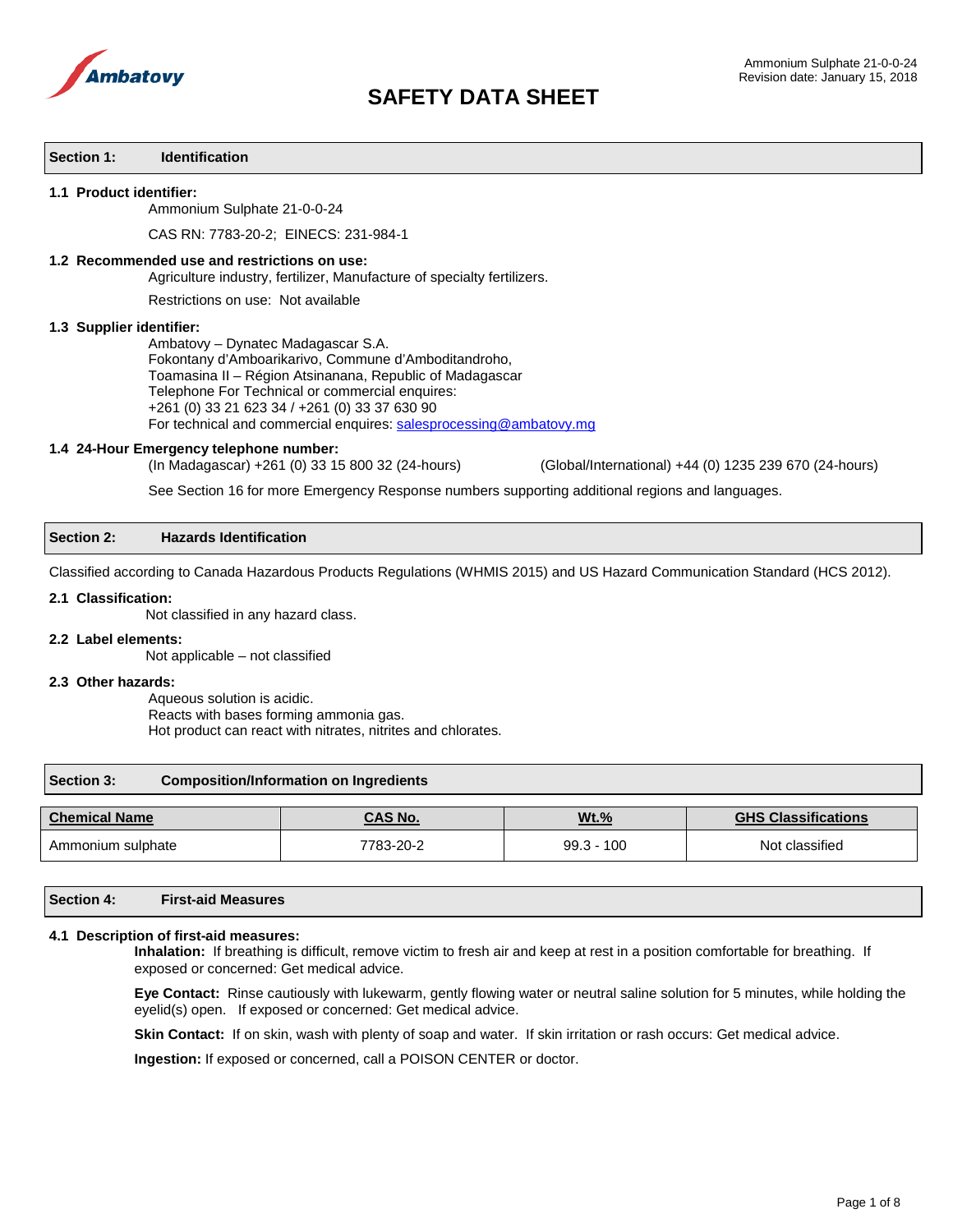

#### **Section 1: Identification**

#### **1.1 Product identifier:**

Ammonium Sulphate 21-0-0-24

CAS RN: 7783-20-2; EINECS: 231-984-1

#### **1.2 Recommended use and restrictions on use:**

Agriculture industry, fertilizer, Manufacture of specialty fertilizers.

Restrictions on use: Not available

#### **1.3 Supplier identifier:**

Ambatovy – Dynatec Madagascar S.A. Fokontany d'Amboarikarivo, Commune d'Amboditandroho, Toamasina II – Région Atsinanana, Republic of Madagascar Telephone For Technical or commercial enquires: +261 (0) 33 21 623 34 / +261 (0) 33 37 630 90 For technical and commercial enquires: [salesprocessing@ambatovy.mg](mailto:salesprocessing@ambatovy.mg)

#### **1.4 24-Hour Emergency telephone number:**

(In Madagascar) +261 (0) 33 15 800 32 (24-hours) (Global/International) +44 (0) 1235 239 670 (24-hours)

See Section 16 for more Emergency Response numbers supporting additional regions and languages.

#### **Section 2: Hazards Identification**

Classified according to Canada Hazardous Products Regulations (WHMIS 2015) and US Hazard Communication Standard (HCS 2012).

#### **2.1 Classification:**

Not classified in any hazard class.

#### **2.2 Label elements:**

Not applicable – not classified

#### **2.3 Other hazards:**

Aqueous solution is acidic. Reacts with bases forming ammonia gas. Hot product can react with nitrates, nitrites and chlorates.

#### **Section 3: Composition/Information on Ingredients**

| <b>Chemical Name</b> | CAS No.   | <b>Wt.%</b>  | <b>GHS Classifications</b> |
|----------------------|-----------|--------------|----------------------------|
| Ammonium sulphate    | 7783-20-2 | $99.3 - 100$ | Not classified             |

| <b>Section 4:</b> | <b>First-aid Measures</b> |
|-------------------|---------------------------|
|                   |                           |

#### **4.1 Description of first-aid measures:**

**Inhalation:** If breathing is difficult, remove victim to fresh air and keep at rest in a position comfortable for breathing. If exposed or concerned: Get medical advice.

**Eye Contact:** Rinse cautiously with lukewarm, gently flowing water or neutral saline solution for 5 minutes, while holding the eyelid(s) open. If exposed or concerned: Get medical advice.

Skin Contact: If on skin, wash with plenty of soap and water. If skin irritation or rash occurs: Get medical advice.

**Ingestion:** If exposed or concerned, call a POISON CENTER or doctor.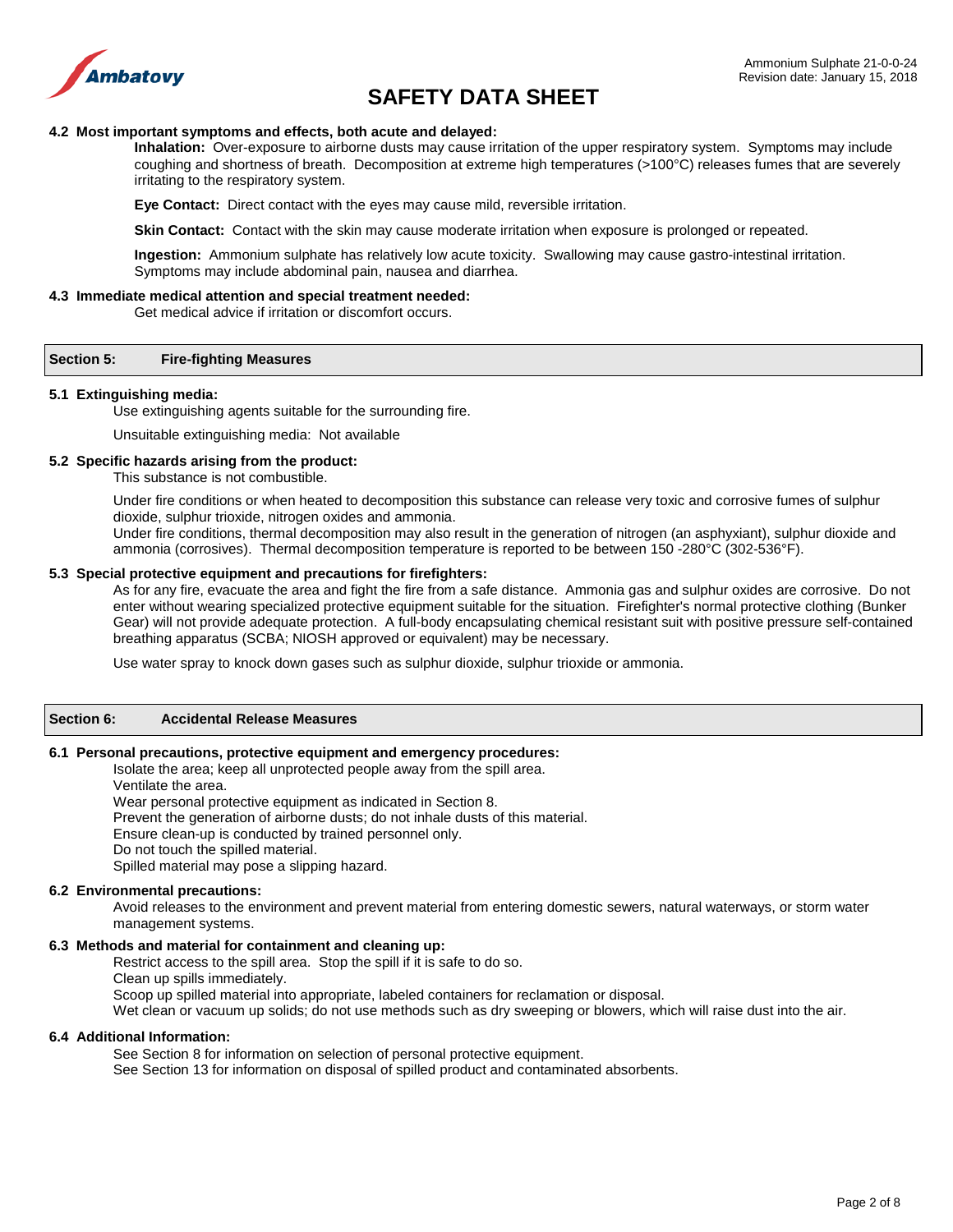

#### **4.2 Most important symptoms and effects, both acute and delayed:**

**Inhalation:** Over-exposure to airborne dusts may cause irritation of the upper respiratory system. Symptoms may include coughing and shortness of breath. Decomposition at extreme high temperatures (>100°C) releases fumes that are severely irritating to the respiratory system.

**Eye Contact:** Direct contact with the eyes may cause mild, reversible irritation.

**Skin Contact:** Contact with the skin may cause moderate irritation when exposure is prolonged or repeated.

**Ingestion:** Ammonium sulphate has relatively low acute toxicity. Swallowing may cause gastro-intestinal irritation. Symptoms may include abdominal pain, nausea and diarrhea.

#### **4.3 Immediate medical attention and special treatment needed:**

Get medical advice if irritation or discomfort occurs.

# **Section 5: Fire-fighting Measures**

#### **5.1 Extinguishing media:**

Use extinguishing agents suitable for the surrounding fire.

Unsuitable extinguishing media: Not available

### **5.2 Specific hazards arising from the product:**

This substance is not combustible.

Under fire conditions or when heated to decomposition this substance can release very toxic and corrosive fumes of sulphur dioxide, sulphur trioxide, nitrogen oxides and ammonia.

Under fire conditions, thermal decomposition may also result in the generation of nitrogen (an asphyxiant), sulphur dioxide and ammonia (corrosives). Thermal decomposition temperature is reported to be between 150 -280°C (302-536°F).

#### **5.3 Special protective equipment and precautions for firefighters:**

As for any fire, evacuate the area and fight the fire from a safe distance. Ammonia gas and sulphur oxides are corrosive. Do not enter without wearing specialized protective equipment suitable for the situation. Firefighter's normal protective clothing (Bunker Gear) will not provide adequate protection. A full-body encapsulating chemical resistant suit with positive pressure self-contained breathing apparatus (SCBA; NIOSH approved or equivalent) may be necessary.

Use water spray to knock down gases such as sulphur dioxide, sulphur trioxide or ammonia.

# **Section 6: Accidental Release Measures**

## **6.1 Personal precautions, protective equipment and emergency procedures:**

Isolate the area; keep all unprotected people away from the spill area. Ventilate the area. Wear personal protective equipment as indicated in Section 8.

Prevent the generation of airborne dusts; do not inhale dusts of this material.

Ensure clean-up is conducted by trained personnel only.

Do not touch the spilled material.

Spilled material may pose a slipping hazard.

# **6.2 Environmental precautions:**

Avoid releases to the environment and prevent material from entering domestic sewers, natural waterways, or storm water management systems.

# **6.3 Methods and material for containment and cleaning up:**

Restrict access to the spill area. Stop the spill if it is safe to do so.

Clean up spills immediately.

Scoop up spilled material into appropriate, labeled containers for reclamation or disposal.

Wet clean or vacuum up solids; do not use methods such as dry sweeping or blowers, which will raise dust into the air.

#### **6.4 Additional Information:**

See Section 8 for information on selection of personal protective equipment.

See Section 13 for information on disposal of spilled product and contaminated absorbents.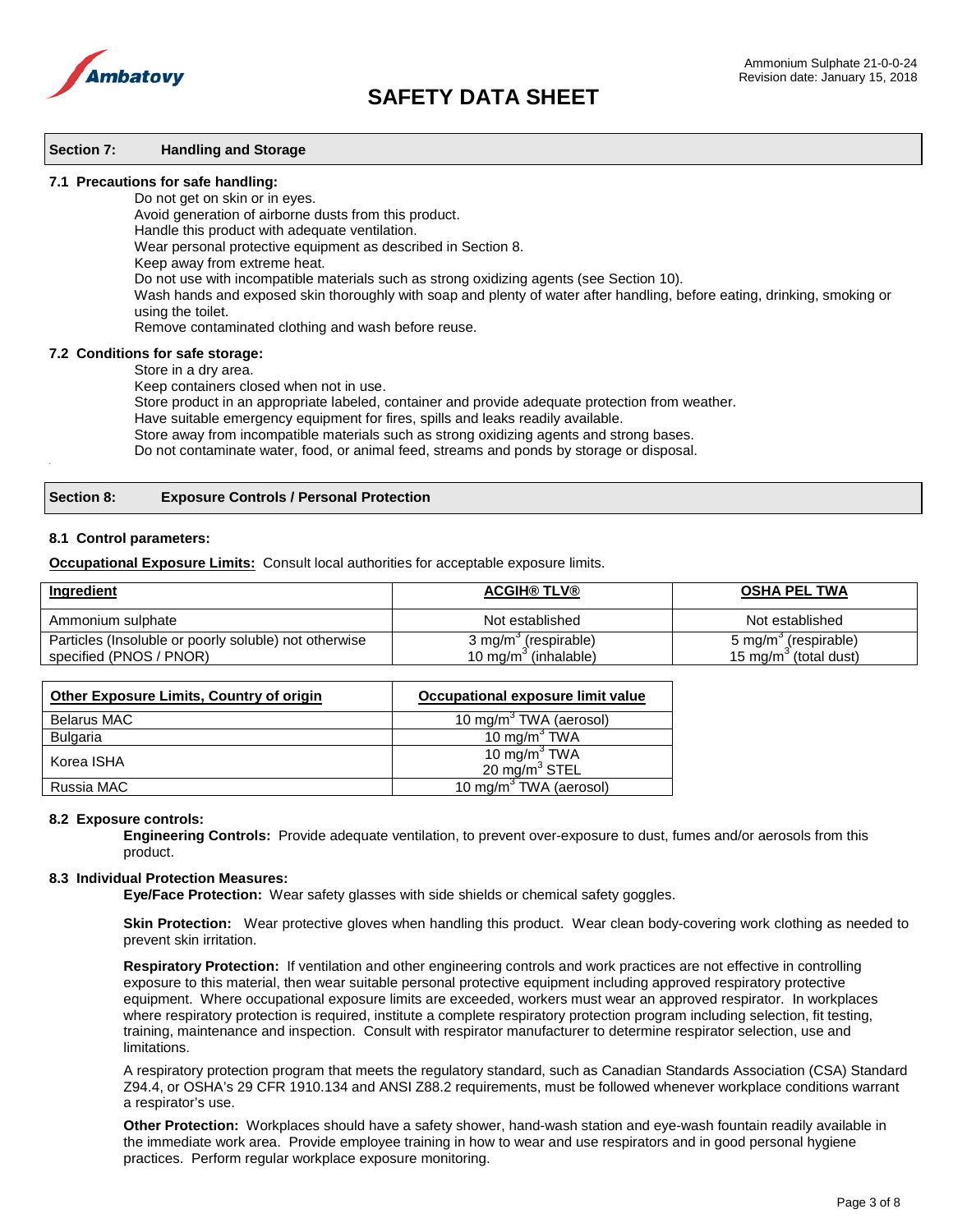

### **Section 7: Handling and Storage**

#### **7.1 Precautions for safe handling:**

Do not get on skin or in eyes.

Avoid generation of airborne dusts from this product.

Handle this product with adequate ventilation.

Wear personal protective equipment as described in Section 8.

Keep away from extreme heat.

Do not use with incompatible materials such as strong oxidizing agents (see Section 10).

Wash hands and exposed skin thoroughly with soap and plenty of water after handling, before eating, drinking, smoking or using the toilet.

Remove contaminated clothing and wash before reuse.

#### **7.2 Conditions for safe storage:**

Store in a dry area.

Keep containers closed when not in use.

Store product in an appropriate labeled, container and provide adequate protection from weather.

Have suitable emergency equipment for fires, spills and leaks readily available.

Store away from incompatible materials such as strong oxidizing agents and strong bases.

Do not contaminate water, food, or animal feed, streams and ponds by storage or disposal. .

# **Section 8: Exposure Controls / Personal Protection**

#### **8.1 Control parameters:**

**Occupational Exposure Limits:** Consult local authorities for acceptable exposure limits.

| <b>Ingredient</b>                                     | <b>ACGIH® TLV®</b>               | <b>OSHA PEL TWA</b>               |
|-------------------------------------------------------|----------------------------------|-----------------------------------|
| Ammonium sulphate                                     | Not established                  | Not established                   |
| Particles (Insoluble or poorly soluble) not otherwise | 3 mg/m <sup>3</sup> (respirable) | 5 mg/m <sup>3</sup> (respirable)  |
| specified (PNOS / PNOR)                               | 10 mg/m $\degree$ (inhalable)    | 15 mg/m <sup>3</sup> (total dust) |

| <b>Other Exposure Limits, Country of origin</b> | Occupational exposure limit value   |
|-------------------------------------------------|-------------------------------------|
| <b>Belarus MAC</b>                              | 10 mg/m <sup>3</sup> TWA (aerosol)  |
| Bulgaria                                        | 10 mg/m <sup>3</sup> TWA            |
| Korea ISHA                                      | 10 mg/m $^3$ TWA<br>20 $mg/m3$ STEL |
| Russia MAC                                      | 10 mg/m <sup>3</sup> TWA (aerosol)  |

#### **8.2 Exposure controls:**

**Engineering Controls:** Provide adequate ventilation, to prevent over-exposure to dust, fumes and/or aerosols from this product.

#### **8.3 Individual Protection Measures:**

**Eye/Face Protection:** Wear safety glasses with side shields or chemical safety goggles.

 **Skin Protection:** Wear protective gloves when handling this product. Wear clean body-covering work clothing as needed to prevent skin irritation.

**Respiratory Protection:** If ventilation and other engineering controls and work practices are not effective in controlling exposure to this material, then wear suitable personal protective equipment including approved respiratory protective equipment. Where occupational exposure limits are exceeded, workers must wear an approved respirator. In workplaces where respiratory protection is required, institute a complete respiratory protection program including selection, fit testing, training, maintenance and inspection. Consult with respirator manufacturer to determine respirator selection, use and limitations.

A respiratory protection program that meets the regulatory standard, such as Canadian Standards Association (CSA) Standard Z94.4, or OSHA's 29 CFR 1910.134 and ANSI Z88.2 requirements, must be followed whenever workplace conditions warrant a respirator's use.

**Other Protection:** Workplaces should have a safety shower, hand-wash station and eye-wash fountain readily available in the immediate work area. Provide employee training in how to wear and use respirators and in good personal hygiene practices. Perform regular workplace exposure monitoring.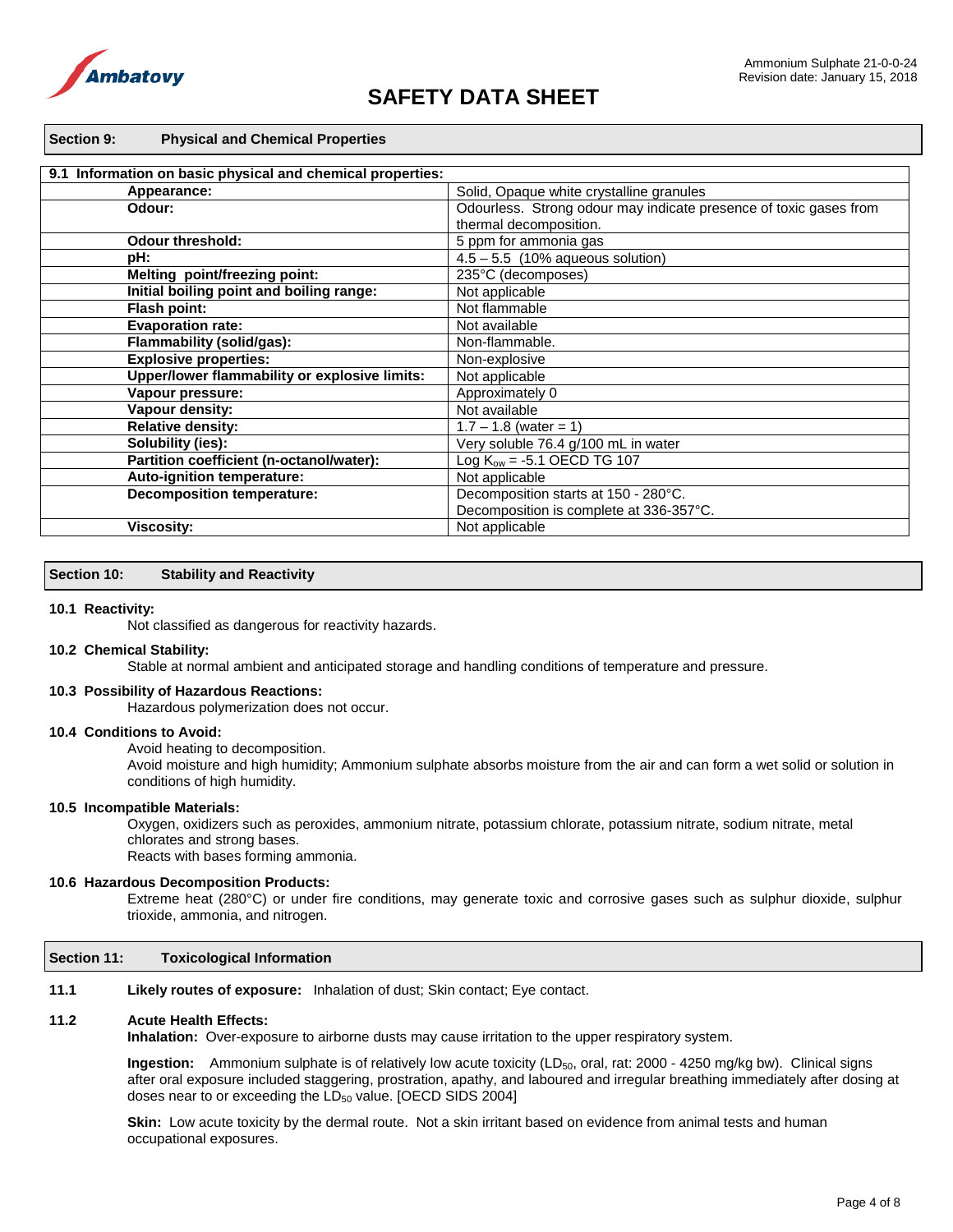

#### **Section 9: Physical and Chemical Properties**

| 9.1 Information on basic physical and chemical properties: |                                                                   |
|------------------------------------------------------------|-------------------------------------------------------------------|
| Appearance:                                                | Solid, Opaque white crystalline granules                          |
| Odour:                                                     | Odourless. Strong odour may indicate presence of toxic gases from |
|                                                            | thermal decomposition.                                            |
| <b>Odour threshold:</b>                                    | 5 ppm for ammonia gas                                             |
| pH:                                                        | $4.5 - 5.5$ (10% aqueous solution)                                |
| Melting point/freezing point:                              | 235°C (decomposes)                                                |
| Initial boiling point and boiling range:                   | Not applicable                                                    |
| Flash point:                                               | Not flammable                                                     |
| <b>Evaporation rate:</b>                                   | Not available                                                     |
| Flammability (solid/gas):                                  | Non-flammable.                                                    |
| <b>Explosive properties:</b>                               | Non-explosive                                                     |
| Upper/lower flammability or explosive limits:              | Not applicable                                                    |
| Vapour pressure:                                           | Approximately 0                                                   |
| Vapour density:                                            | Not available                                                     |
| <b>Relative density:</b>                                   | $1.7 - 1.8$ (water = 1)                                           |
| Solubility (ies):                                          | Very soluble 76.4 g/100 mL in water                               |
| Partition coefficient (n-octanol/water):                   | Log $K_{ow} = -5.1$ OECD TG 107                                   |
| Auto-ignition temperature:                                 | Not applicable                                                    |
| <b>Decomposition temperature:</b>                          | Decomposition starts at 150 - 280°C.                              |
|                                                            | Decomposition is complete at 336-357°C.                           |
| <b>Viscosity:</b>                                          | Not applicable                                                    |

#### **Section 10: Stability and Reactivity**

#### **10.1 Reactivity:**

Not classified as dangerous for reactivity hazards.

# **10.2 Chemical Stability:**

Stable at normal ambient and anticipated storage and handling conditions of temperature and pressure.

### **10.3 Possibility of Hazardous Reactions:**

Hazardous polymerization does not occur.

### **10.4 Conditions to Avoid:**

Avoid heating to decomposition.

Avoid moisture and high humidity; Ammonium sulphate absorbs moisture from the air and can form a wet solid or solution in conditions of high humidity.

#### **10.5 Incompatible Materials:**

Oxygen, oxidizers such as peroxides, ammonium nitrate, potassium chlorate, potassium nitrate, sodium nitrate, metal chlorates and strong bases. Reacts with bases forming ammonia.

#### **10.6 Hazardous Decomposition Products:**

Extreme heat (280°C) or under fire conditions, may generate toxic and corrosive gases such as sulphur dioxide, sulphur trioxide, ammonia, and nitrogen.

# **Section 11: Toxicological Information**

**11.1 Likely routes of exposure:** Inhalation of dust; Skin contact; Eye contact.

#### **11.2 Acute Health Effects:**

**Inhalation:** Over-exposure to airborne dusts may cause irritation to the upper respiratory system.

**Ingestion:** Ammonium sulphate is of relatively low acute toxicity (LD<sub>50</sub>, oral, rat: 2000 - 4250 mg/kg bw). Clinical signs after oral exposure included staggering, prostration, apathy, and laboured and irregular breathing immediately after dosing at doses near to or exceeding the LD<sub>50</sub> value. [OECD SIDS 2004]

**Skin:** Low acute toxicity by the dermal route. Not a skin irritant based on evidence from animal tests and human occupational exposures.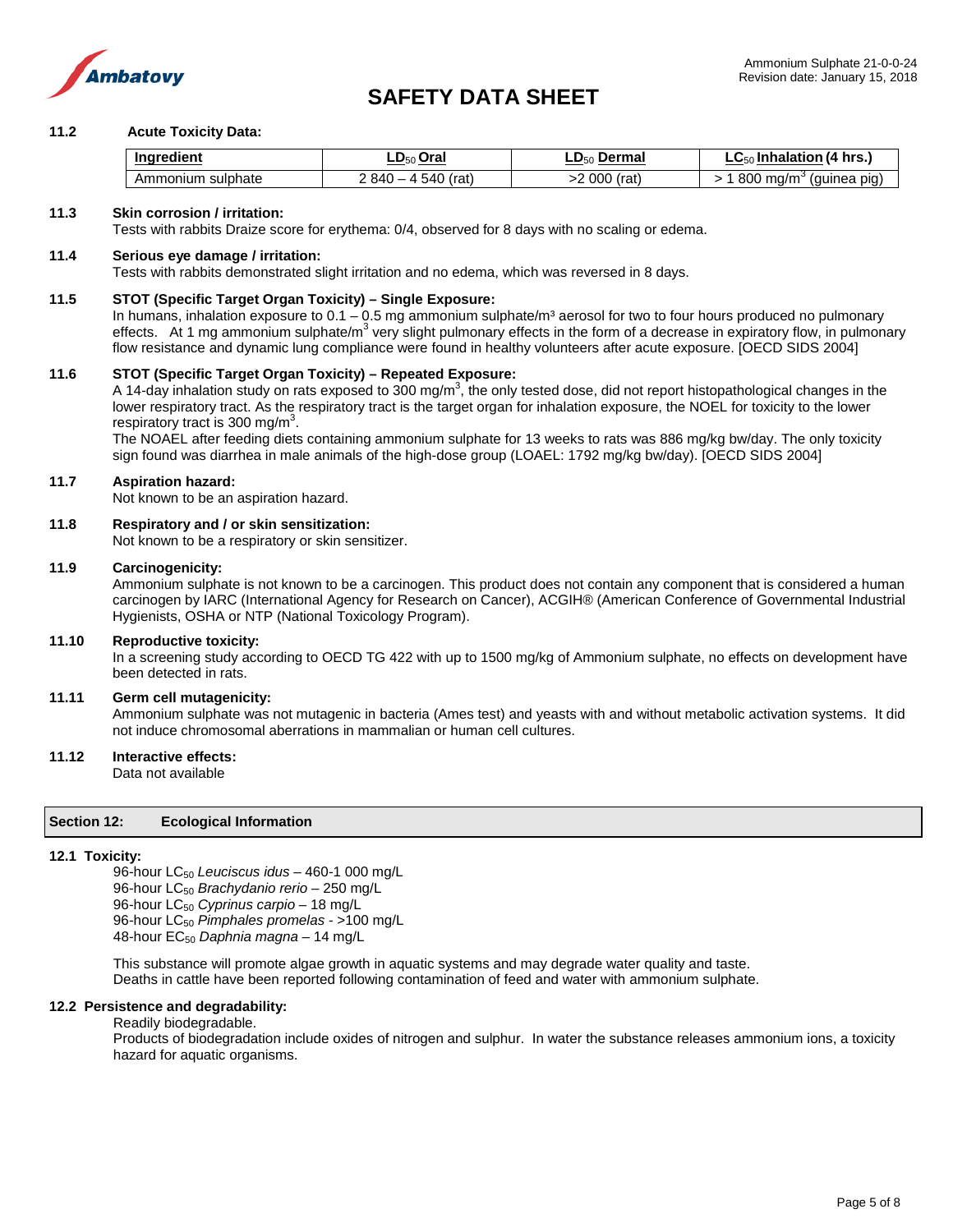

# **11.2 Acute Toxicity Data:**

| Inaredient               | .Oral<br>$L_{\nu_{50}}$                      | Dermal<br>LD50 | $\cdot$ Inhalation (4 hrs.)<br>1.EO<br>ັດ∪ |
|--------------------------|----------------------------------------------|----------------|--------------------------------------------|
| sulphate<br>- ATHLIONIUM | $\sim$<br>` 840 –<br>(rat<br>540<br><u>д</u> | 000<br>(rat    | 800<br>ma/m<br>(guinea pig)<br>نٽ          |

# **11.3 Skin corrosion / irritation:**

Tests with rabbits Draize score for erythema: 0/4, observed for 8 days with no scaling or edema.

#### **11.4 Serious eye damage / irritation:**

Tests with rabbits demonstrated slight irritation and no edema, which was reversed in 8 days.

# **11.5 STOT (Specific Target Organ Toxicity) – Single Exposure:**

In humans, inhalation exposure to  $0.1 - 0.5$  mg ammonium sulphate/m<sup>3</sup> aerosol for two to four hours produced no pulmonary effects. At 1 mg ammonium sulphate/m<sup>3</sup> very slight pulmonary effects in the form of a decrease in expiratory flow, in pulmonary flow resistance and dynamic lung compliance were found in healthy volunteers after acute exposure. [OECD SIDS 2004]

# **11.6 STOT (Specific Target Organ Toxicity) – Repeated Exposure:**

A 14-day inhalation study on rats exposed to 300 mg/m<sup>3</sup>, the only tested dose, did not report histopathological changes in the lower respiratory tract. As the respiratory tract is the target organ for inhalation exposure, the NOEL for toxicity to the lower respiratory tract is 300 mg/m<sup>3</sup>.

The NOAEL after feeding diets containing ammonium sulphate for 13 weeks to rats was 886 mg/kg bw/day. The only toxicity sign found was diarrhea in male animals of the high-dose group (LOAEL: 1792 mg/kg bw/day). [OECD SIDS 2004]

#### **11.7 Aspiration hazard:**

Not known to be an aspiration hazard.

# **11.8 Respiratory and / or skin sensitization:**

Not known to be a respiratory or skin sensitizer.

#### **11.9 Carcinogenicity:**

Ammonium sulphate is not known to be a carcinogen. This product does not contain any component that is considered a human carcinogen by IARC (International Agency for Research on Cancer), ACGIH® (American Conference of Governmental Industrial Hygienists, OSHA or NTP (National Toxicology Program).

#### **11.10 Reproductive toxicity:**

In a screening study according to OECD TG 422 with up to 1500 mg/kg of Ammonium sulphate, no effects on development have been detected in rats.

# **11.11 Germ cell mutagenicity:**

Ammonium sulphate was not mutagenic in bacteria (Ames test) and yeasts with and without metabolic activation systems. It did not induce chromosomal aberrations in mammalian or human cell cultures.

# **11.12 Interactive effects:**

Data not available

#### **Section 12: Ecological Information**

#### **12.1 Toxicity:**

96-hour LC50 *Leuciscus idus* – 460-1 000 mg/L 96-hour LC50 *Brachydanio rerio* – 250 mg/L 96-hour LC<sub>50</sub> Cyprinus carpio - 18 mg/L 96-hour LC50 *Pimphales promelas* - >100 mg/L 48-hour EC50 *Daphnia magna* – 14 mg/L

This substance will promote algae growth in aquatic systems and may degrade water quality and taste. Deaths in cattle have been reported following contamination of feed and water with ammonium sulphate.

#### **12.2 Persistence and degradability:**

# Readily biodegradable.

Products of biodegradation include oxides of nitrogen and sulphur. In water the substance releases ammonium ions, a toxicity hazard for aquatic organisms.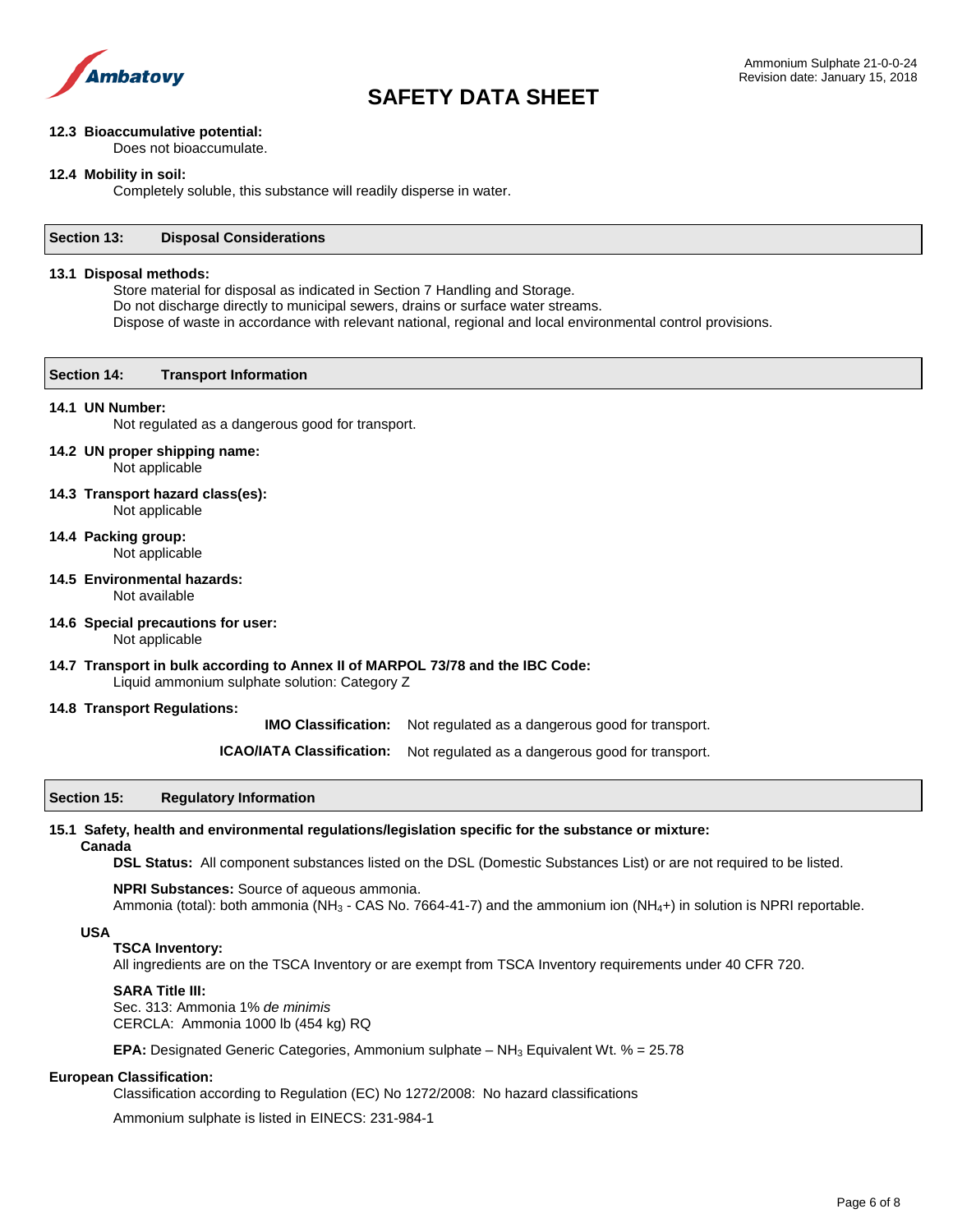

# **12.3 Bioaccumulative potential:**

Does not bioaccumulate.

### **12.4 Mobility in soil:**

Completely soluble, this substance will readily disperse in water.

#### **Section 13: Disposal Considerations**

#### **13.1 Disposal methods:**

Store material for disposal as indicated in Section 7 Handling and Storage. Do not discharge directly to municipal sewers, drains or surface water streams. Dispose of waste in accordance with relevant national, regional and local environmental control provisions.

# **Section 14: Transport Information**

# **14.1 UN Number:**

Not regulated as a dangerous good for transport.

# **14.2 UN proper shipping name:** Not applicable

#### **14.3 Transport hazard class(es):** Not applicable

**14.4 Packing group:**

Not applicable

- **14.5 Environmental hazards:** Not available
- **14.6 Special precautions for user:**
	- Not applicable

# **14.7 Transport in bulk according to Annex II of MARPOL 73/78 and the IBC Code:**

Liquid ammonium sulphate solution: Category Z

# **14.8 Transport Regulations:**

**IMO Classification:** Not regulated as a dangerous good for transport.

**ICAO/IATA Classification:** Not regulated as a dangerous good for transport.

# **Section 15: Regulatory Information**

#### **15.1 Safety, health and environmental regulations/legislation specific for the substance or mixture:**

#### **Canada**

**DSL Status:** All component substances listed on the DSL (Domestic Substances List) or are not required to be listed.

**NPRI Substances:** Source of aqueous ammonia. Ammonia (total): both ammonia (NH<sub>3</sub> - CAS No. 7664-41-7) and the ammonium ion (NH<sub>4</sub>+) in solution is NPRI reportable.

#### **USA**

# **TSCA Inventory:**

All ingredients are on the TSCA Inventory or are exempt from TSCA Inventory requirements under 40 CFR 720.

# **SARA Title III:**

Sec. 313: Ammonia 1% *de minimis* CERCLA: Ammonia 1000 lb (454 kg) RQ

**EPA:** Designated Generic Categories, Ammonium sulphate  $- NH<sub>3</sub>$  Equivalent Wt. % = 25.78

#### **European Classification:**

Classification according to Regulation (EC) No 1272/2008: No hazard classifications

Ammonium sulphate is listed in EINECS: 231-984-1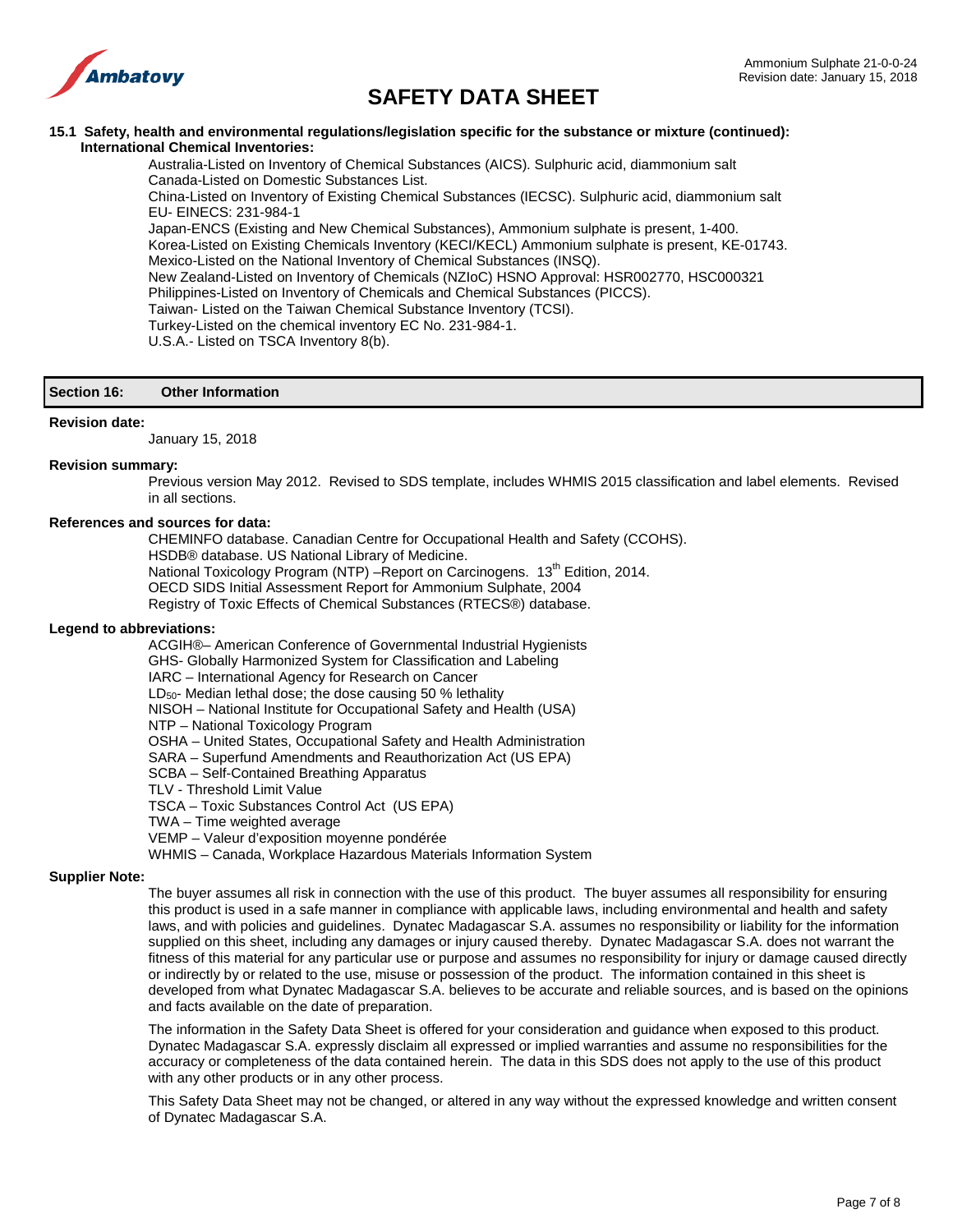

# **15.1 Safety, health and environmental regulations/legislation specific for the substance or mixture (continued): International Chemical Inventories:**

Australia-Listed on Inventory of Chemical Substances (AICS). Sulphuric acid, diammonium salt Canada-Listed on Domestic Substances List.

China-Listed on Inventory of Existing Chemical Substances (IECSC). Sulphuric acid, diammonium salt EU- EINECS: 231-984-1

Japan-ENCS (Existing and New Chemical Substances), Ammonium sulphate is present, 1-400. Korea-Listed on Existing Chemicals Inventory (KECI/KECL) Ammonium sulphate is present, KE-01743. Mexico-Listed on the National Inventory of Chemical Substances (INSQ). New Zealand-Listed on Inventory of Chemicals (NZIoC) HSNO Approval: HSR002770, HSC000321 Philippines-Listed on Inventory of Chemicals and Chemical Substances (PICCS). Taiwan- Listed on the Taiwan Chemical Substance Inventory (TCSI). Turkey-Listed on the chemical inventory EC No. 231-984-1.

U.S.A.- Listed on TSCA Inventory 8(b).

# **Section 16: Other Information**

#### **Revision date:**

January 15, 2018

#### **Revision summary:**

Previous version May 2012. Revised to SDS template, includes WHMIS 2015 classification and label elements. Revised in all sections.

# **References and sources for data:**

CHEMINFO database. Canadian Centre for Occupational Health and Safety (CCOHS). HSDB® database. US National Library of Medicine. National Toxicology Program (NTP) -Report on Carcinogens. 13<sup>th</sup> Edition, 2014. OECD SIDS Initial Assessment Report for Ammonium Sulphate, 2004 Registry of Toxic Effects of Chemical Substances (RTECS®) database.

#### **Legend to abbreviations:**

ACGIH®– American Conference of Governmental Industrial Hygienists GHS- Globally Harmonized System for Classification and Labeling IARC – International Agency for Research on Cancer  $LD<sub>50</sub>$ - Median lethal dose; the dose causing 50 % lethality NISOH – National Institute for Occupational Safety and Health (USA) NTP – National Toxicology Program OSHA – United States, Occupational Safety and Health Administration SARA – Superfund Amendments and Reauthorization Act (US EPA) SCBA – Self-Contained Breathing Apparatus TLV - Threshold Limit Value TSCA – Toxic Substances Control Act (US EPA) TWA – Time weighted average VEMP – Valeur d'exposition moyenne pondérée WHMIS – Canada, Workplace Hazardous Materials Information System

#### **Supplier Note:**

The buyer assumes all risk in connection with the use of this product. The buyer assumes all responsibility for ensuring this product is used in a safe manner in compliance with applicable laws, including environmental and health and safety laws, and with policies and guidelines. Dynatec Madagascar S.A. assumes no responsibility or liability for the information supplied on this sheet, including any damages or injury caused thereby. Dynatec Madagascar S.A. does not warrant the fitness of this material for any particular use or purpose and assumes no responsibility for injury or damage caused directly or indirectly by or related to the use, misuse or possession of the product. The information contained in this sheet is developed from what Dynatec Madagascar S.A. believes to be accurate and reliable sources, and is based on the opinions and facts available on the date of preparation.

The information in the Safety Data Sheet is offered for your consideration and guidance when exposed to this product. Dynatec Madagascar S.A. expressly disclaim all expressed or implied warranties and assume no responsibilities for the accuracy or completeness of the data contained herein. The data in this SDS does not apply to the use of this product with any other products or in any other process.

This Safety Data Sheet may not be changed, or altered in any way without the expressed knowledge and written consent of Dynatec Madagascar S.A.